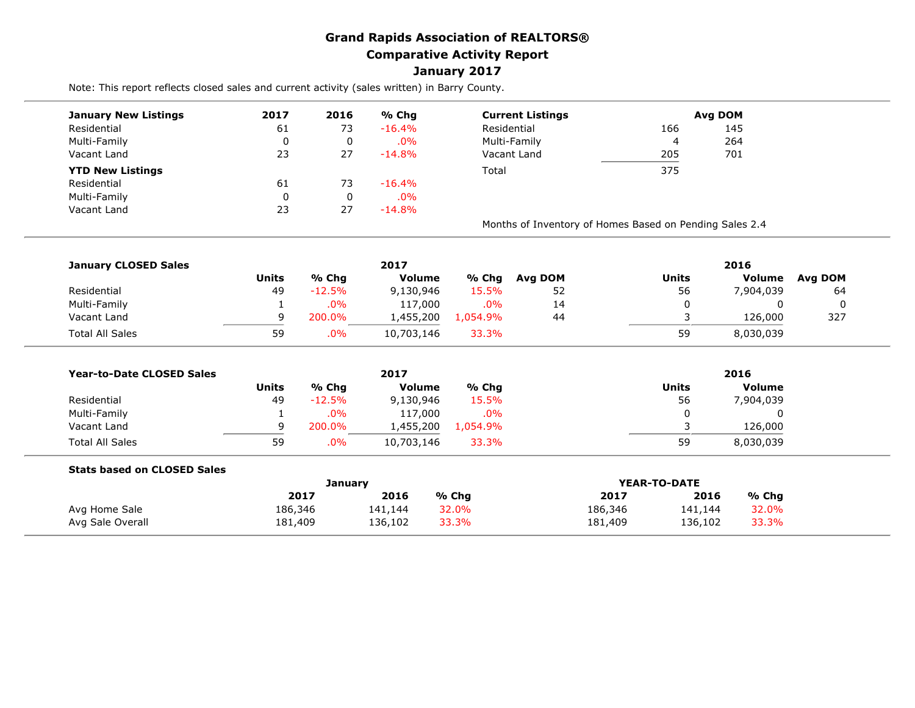## **Grand Rapids Association of REALTORS® Comparative Activity Report January 2017**

Note: This report reflects closed sales and current activity (sales written) in Barry County.

| <b>January New Listings</b> | 2017 | 2016        | % Chg     | <b>Current Listings</b>                                 |     | Avg DOM |  |
|-----------------------------|------|-------------|-----------|---------------------------------------------------------|-----|---------|--|
| Residential                 | 61   | 73          | $-16.4\%$ | Residential                                             | 166 | 145     |  |
| Multi-Family                |      | 0           | $.0\%$    | Multi-Family                                            | 4   | 264     |  |
| Vacant Land                 | 23   | 27          | $-14.8%$  | Vacant Land                                             | 205 | 701     |  |
| <b>YTD New Listings</b>     |      |             |           | Total                                                   | 375 |         |  |
| Residential                 | 61   | 73          | $-16.4\%$ |                                                         |     |         |  |
| Multi-Family                |      | $\mathbf 0$ | $.0\%$    |                                                         |     |         |  |
| Vacant Land                 | 23   | 27          | $-14.8\%$ |                                                         |     |         |  |
|                             |      |             |           | Months of Inventory of Homes Based on Pending Sales 2.4 |     |         |  |

| <b>January CLOSED Sales</b> |       |          | 2017          |          | 2016    |       |           |         |
|-----------------------------|-------|----------|---------------|----------|---------|-------|-----------|---------|
|                             | Units | % Chg    | <b>Volume</b> | % Chg    | Avg DOM | Units | Volume    | Avg DOM |
| Residential                 | 49    | $-12.5%$ | 9,130,946     | 15.5%    | 52      | 56    | 7,904,039 | 64      |
| Multi-Family                |       | $.0\%$   | 117,000       | .0%      | 14      |       |           |         |
| Vacant Land                 | a     | 200.0%   | 1,455,200     | 1.054.9% | 44      |       | 126,000   | 327     |
| <b>Total All Sales</b>      | 59    | $.0\%$   | 10,703,146    | 33.3%    |         | 59    | 8,030,039 |         |

| <b>Year-to-Date CLOSED Sales</b> |       |          | 2017          |         | 2016  |           |
|----------------------------------|-------|----------|---------------|---------|-------|-----------|
|                                  | Units | % Chg    | <b>Volume</b> | % Chq   | Units | Volume    |
| Residential                      | 49    | $-12.5%$ | 9,130,946     | 15.5%   | 56    | 7,904,039 |
| Multi-Family                     |       | $.0\%$   | 117,000       | $.0\%$  |       |           |
| Vacant Land                      |       | 200.0%   | .,455,200     | .054.9% |       | 126,000   |
| <b>Total All Sales</b>           | 59    | .0%      | 10,703,146    | 33.3%   | 59    | 8,030,039 |

| 2017    | 2016    | % Chq   | 2017    | 2016    | % Chg        |
|---------|---------|---------|---------|---------|--------------|
| 186,346 | 141,144 | 32.0%   | 186,346 | 141,144 | 32.0%        |
| 181,409 | 136,102 | 33.3%   | 181,409 | 136,102 | 33.3%        |
|         |         | Januarv |         |         | YEAR-TO-DATE |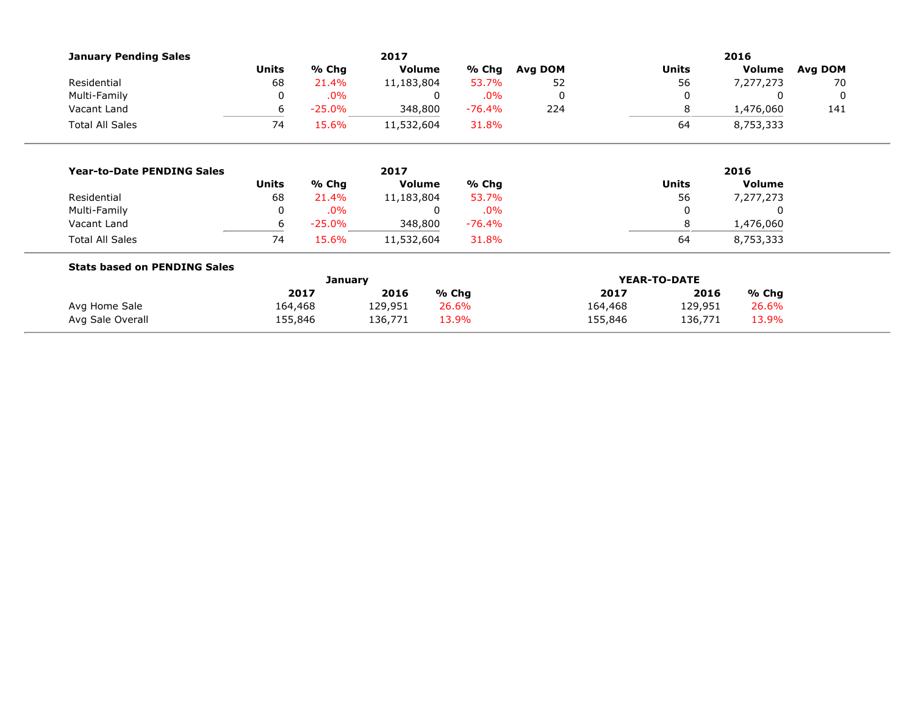| <b>January Pending Sales</b>        |                |           | 2017          |          | 2016    |         |                |           |         |  |  |
|-------------------------------------|----------------|-----------|---------------|----------|---------|---------|----------------|-----------|---------|--|--|
|                                     | <b>Units</b>   | % Chg     | <b>Volume</b> | % Chg    | Avg DOM |         | <b>Units</b>   | Volume    | Avg DOM |  |  |
| Residential                         | 68             | 21.4%     | 11,183,804    | 53.7%    | 52      |         | 56             | 7,277,273 | 70      |  |  |
| Multi-Family                        | 0              | .0%       |               | .0%<br>0 | 0       |         | 0              | 0         | 0       |  |  |
| Vacant Land                         | 6              | $-25.0%$  | 348,800       | $-76.4%$ | 224     |         | 8              | 1,476,060 | 141     |  |  |
| <b>Total All Sales</b>              | 74<br>15.6%    |           | 11,532,604    | 31.8%    |         |         | 64             | 8,753,333 |         |  |  |
|                                     |                |           |               |          |         |         |                |           |         |  |  |
| <b>Year-to-Date PENDING Sales</b>   | 2017           |           |               |          |         | 2016    |                |           |         |  |  |
|                                     | <b>Units</b>   | % Chg     | <b>Volume</b> | % Chg    |         |         | <b>Units</b>   | Volume    |         |  |  |
| Residential                         | 68             | 21.4%     | 11,183,804    | 53.7%    |         | 56      |                | 7,277,273 |         |  |  |
| Multi-Family                        | 0              | .0%       |               | .0%<br>0 |         |         |                | 0         |         |  |  |
| Vacant Land                         | 6              | $-25.0\%$ | 348,800       | $-76.4%$ |         |         | 8<br>1,476,060 |           |         |  |  |
| <b>Total All Sales</b>              | 74             | 15.6%     | 11,532,604    | 31.8%    |         |         | 64             | 8,753,333 |         |  |  |
| <b>Stats based on PENDING Sales</b> |                |           |               |          |         |         |                |           |         |  |  |
|                                     | <b>January</b> |           |               |          |         |         | YEAR-TO-DATE   |           |         |  |  |
|                                     |                | 2017      | 2016          | % Chg    |         | 2017    | 2016           | $%$ Chg   |         |  |  |
| Avg Home Sale                       | 164,468        |           | 129,951       | 26.6%    |         | 164,468 | 129,951        | 26.6%     |         |  |  |
| Avg Sale Overall                    | 155,846        |           | 136,771       | 13.9%    |         | 155,846 | 136,771        | 13.9%     |         |  |  |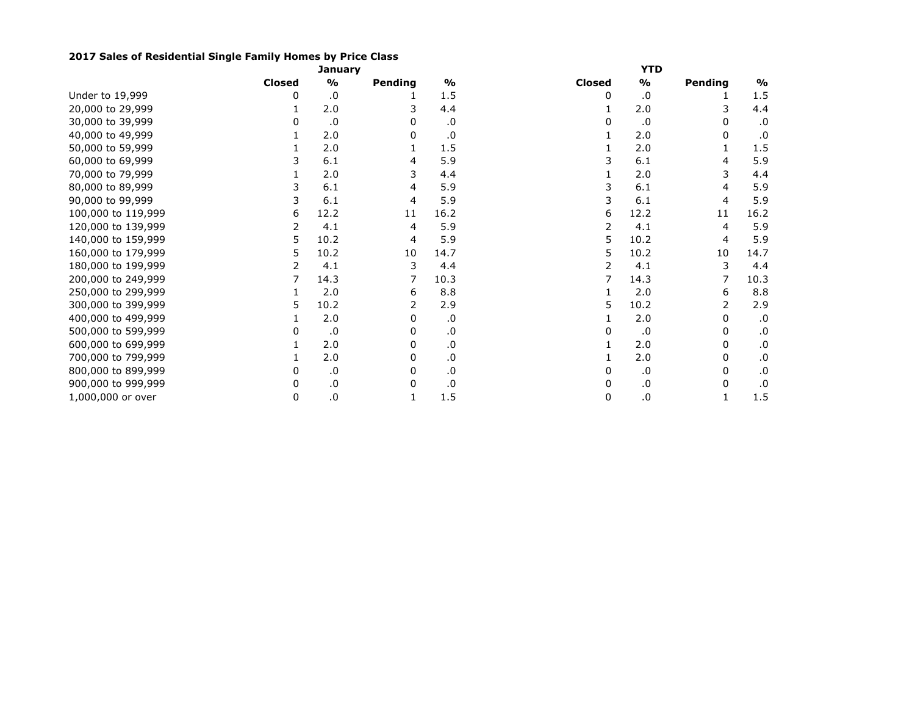## **2017 Sales of Residential Single Family Homes by Price Class**

|                    | <b>January</b> |               |              |               | <b>YTD</b>    |               |         |               |  |  |
|--------------------|----------------|---------------|--------------|---------------|---------------|---------------|---------|---------------|--|--|
|                    | <b>Closed</b>  | $\frac{1}{2}$ | Pending      | $\frac{9}{6}$ | <b>Closed</b> | $\frac{1}{2}$ | Pending | $\frac{1}{2}$ |  |  |
| Under to 19,999    | 0              | .0            |              | 1.5           | 0             | .0            |         | 1.5           |  |  |
| 20,000 to 29,999   |                | 2.0           |              | 4.4           |               | 2.0           | 3       | 4.4           |  |  |
| 30,000 to 39,999   | 0              | .0            | <sup>0</sup> | .0            | 0             | .0            | 0       | .0            |  |  |
| 40,000 to 49,999   |                | 2.0           | 0            | 0.            |               | 2.0           | 0       | .0            |  |  |
| 50,000 to 59,999   |                | 2.0           |              | 1.5           |               | 2.0           |         | 1.5           |  |  |
| 60,000 to 69,999   |                | 6.1           | 4            | 5.9           |               | 6.1           | 4       | 5.9           |  |  |
| 70,000 to 79,999   |                | 2.0           | 3            | 4.4           |               | 2.0           | 3       | 4.4           |  |  |
| 80,000 to 89,999   |                | 6.1           | 4            | 5.9           |               | 6.1           |         | 5.9           |  |  |
| 90,000 to 99,999   | 3              | 6.1           | 4            | 5.9           |               | 6.1           | 4       | 5.9           |  |  |
| 100,000 to 119,999 | 6              | 12.2          | 11           | 16.2          | 6             | 12.2          | 11      | 16.2          |  |  |
| 120,000 to 139,999 | 2              | 4.1           | 4            | 5.9           |               | 4.1           | 4       | 5.9           |  |  |
| 140,000 to 159,999 | 5              | 10.2          | 4            | 5.9           | 5             | 10.2          | 4       | 5.9           |  |  |
| 160,000 to 179,999 | 5              | 10.2          | 10           | 14.7          | 5             | 10.2          | 10      | 14.7          |  |  |
| 180,000 to 199,999 |                | 4.1           | 3            | 4.4           |               | 4.1           | 3       | 4.4           |  |  |
| 200,000 to 249,999 |                | 14.3          |              | 10.3          |               | 14.3          |         | 10.3          |  |  |
| 250,000 to 299,999 |                | 2.0           | 6            | 8.8           |               | 2.0           | 6       | 8.8           |  |  |
| 300,000 to 399,999 | 5.             | 10.2          |              | 2.9           | 5             | 10.2          | 2       | 2.9           |  |  |
| 400,000 to 499,999 |                | 2.0           | 0            | $\cdot$ 0     |               | 2.0           | 0       | .0            |  |  |
| 500,000 to 599,999 |                | .0            |              | .0            |               | .0            | 0       | .0            |  |  |
| 600,000 to 699,999 |                | 2.0           | 0            | .0            |               | 2.0           | 0       | .0            |  |  |
| 700,000 to 799,999 |                | 2.0           | 0            | .0            |               | 2.0           | 0       | .0            |  |  |
| 800,000 to 899,999 | 0              | .0            | 0            | .0            | 0             | .0            | 0       | .0            |  |  |
| 900,000 to 999,999 | 0              | .0            | 0            | .0            | 0             | .0            | 0       | .0            |  |  |
| 1,000,000 or over  | 0              | $\cdot$ 0     | 1            | 1.5           | 0             | .0            | 1       | 1.5           |  |  |